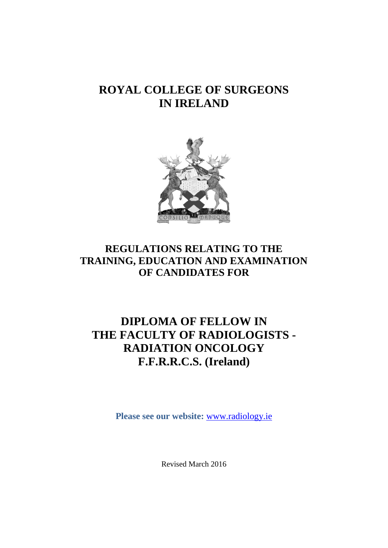## **ROYAL COLLEGE OF SURGEONS IN IRELAND**



### **REGULATIONS RELATING TO THE TRAINING, EDUCATION AND EXAMINATION OF CANDIDATES FOR**

# **DIPLOMA OF FELLOW IN THE FACULTY OF RADIOLOGISTS - RADIATION ONCOLOGY F.F.R.R.C.S. (Ireland)**

**Please see our website:** [www.radiology.ie](http://www.radiology.ie/)

Revised March 2016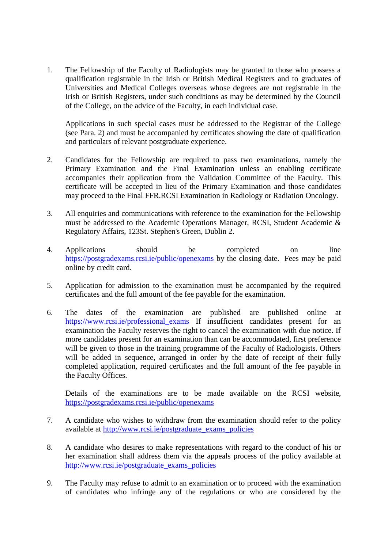1. The Fellowship of the Faculty of Radiologists may be granted to those who possess a qualification registrable in the Irish or British Medical Registers and to graduates of Universities and Medical Colleges overseas whose degrees are not registrable in the Irish or British Registers, under such conditions as may be determined by the Council of the College, on the advice of the Faculty, in each individual case.

Applications in such special cases must be addressed to the Registrar of the College (see Para. 2) and must be accompanied by certificates showing the date of qualification and particulars of relevant postgraduate experience.

- 2. Candidates for the Fellowship are required to pass two examinations, namely the Primary Examination and the Final Examination unless an enabling certificate accompanies their application from the Validation Committee of the Faculty. This certificate will be accepted in lieu of the Primary Examination and those candidates may proceed to the Final FFR.RCSI Examination in Radiology or Radiation Oncology.
- 3. All enquiries and communications with reference to the examination for the Fellowship must be addressed to the Academic Operations Manager, RCSI, Student Academic & Regulatory Affairs, 123St. Stephen's Green, Dublin 2.
- 4. Applications should be completed on line <https://postgradexams.rcsi.ie/public/openexams> by the closing date. Fees may be paid online by credit card.
- 5. Application for admission to the examination must be accompanied by the required certificates and the full amount of the fee payable for the examination.
- 6. The dates of the examination are published are published online at [https://www.rcsi.ie/professional\\_exams](https://www.rcsi.ie/professional_exams) If insufficient candidates present for an examination the Faculty reserves the right to cancel the examination with due notice. If more candidates present for an examination than can be accommodated, first preference will be given to those in the training programme of the Faculty of Radiologists. Others will be added in sequence, arranged in order by the date of receipt of their fully completed application, required certificates and the full amount of the fee payable in the Faculty Offices.

Details of the examinations are to be made available on the RCSI website, <https://postgradexams.rcsi.ie/public/openexams>

- 7. A candidate who wishes to withdraw from the examination should refer to the policy available at [http://www.rcsi.ie/postgraduate\\_exams\\_policies](http://www.rcsi.ie/postgraduate_exams_policies)
- 8. A candidate who desires to make representations with regard to the conduct of his or her examination shall address them via the appeals process of the policy available at [http://www.rcsi.ie/postgraduate\\_exams\\_policies](http://www.rcsi.ie/postgraduate_exams_policies)
- 9. The Faculty may refuse to admit to an examination or to proceed with the examination of candidates who infringe any of the regulations or who are considered by the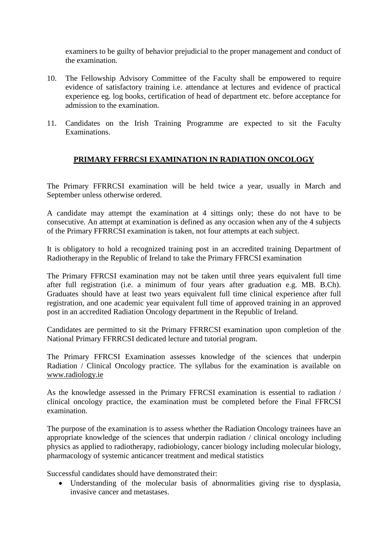examiners to be guilty of behavior prejudicial to the proper management and conduct of the examination.

- 10. The Fellowship Advisory Committee of the Faculty shall be empowered to require evidence of satisfactory training i.e. attendance at lectures and evidence of practical experience eg. log books, certification of head of department etc. before acceptance for admission to the examination.
- 11. Candidates on the Irish Training Programme are expected to sit the Faculty Examinations.

#### **PRIMARY FFRRCSI EXAMINATION IN RADIATION ONCOLOGY**

The Primary FFRRCSI examination will be held twice a year, usually in March and September unless otherwise ordered.

A candidate may attempt the examination at 4 sittings only; these do not have to be consecutive. An attempt at examination is defined as any occasion when any of the 4 subjects of the Primary FFRRCSI examination is taken, not four attempts at each subject.

It is obligatory to hold a recognized training post in an accredited training Department of Radiotherapy in the Republic of Ireland to take the Primary FFRCSI examination

The Primary FFRCSI examination may not be taken until three years equivalent full time after full registration (i.e. a minimum of four years after graduation e.g. MB. B.Ch). Graduates should have at least two years equivalent full time clinical experience after full registration, and one academic year equivalent full time of approved training in an approved post in an accredited Radiation Oncology department in the Republic of Ireland.

Candidates are permitted to sit the Primary FFRRCSI examination upon completion of the National Primary FFRRCSI dedicated lecture and tutorial program.

The Primary FFRCSI Examination assesses knowledge of the sciences that underpin Radiation / Clinical Oncology practice. The syllabus for the examination is available on [www.radiology.ie](http://www.radiology.ie/)

As the knowledge assessed in the Primary FFRCSI examination is essential to radiation / clinical oncology practice, the examination must be completed before the Final FFRCSI examination.

The purpose of the examination is to assess whether the Radiation Oncology trainees have an appropriate knowledge of the sciences that underpin radiation / clinical oncology including physics as applied to radiotherapy, radiobiology, cancer biology including molecular biology, pharmacology of systemic anticancer treatment and medical statistics

Successful candidates should have demonstrated their:

 Understanding of the molecular basis of abnormalities giving rise to dysplasia, invasive cancer and metastases.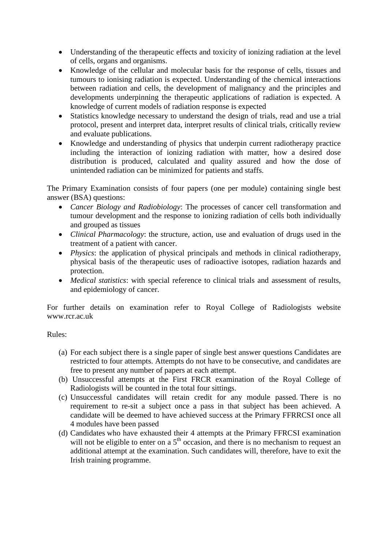- Understanding of the therapeutic effects and toxicity of ionizing radiation at the level of cells, organs and organisms.
- Knowledge of the cellular and molecular basis for the response of cells, tissues and tumours to ionising radiation is expected. Understanding of the chemical interactions between radiation and cells, the development of malignancy and the principles and developments underpinning the therapeutic applications of radiation is expected. A knowledge of current models of radiation response is expected
- Statistics knowledge necessary to understand the design of trials, read and use a trial protocol, present and interpret data, interpret results of clinical trials, critically review and evaluate publications.
- Knowledge and understanding of physics that underpin current radiotherapy practice including the interaction of ionizing radiation with matter, how a desired dose distribution is produced, calculated and quality assured and how the dose of unintended radiation can be minimized for patients and staffs.

The Primary Examination consists of four papers (one per module) containing single best answer (BSA) questions:

- *Cancer Biology and Radiobiology*: The processes of cancer cell transformation and tumour development and the response to ionizing radiation of cells both individually and grouped as tissues
- *Clinical Pharmacology*: the structure, action, use and evaluation of drugs used in the treatment of a patient with cancer.
- *Physics*: the application of physical principals and methods in clinical radiotherapy, physical basis of the therapeutic uses of radioactive isotopes, radiation hazards and protection.
- *Medical statistics*: with special reference to clinical trials and assessment of results, and epidemiology of cancer.

For further details on examination refer to Royal College of Radiologists website www.rcr.ac.uk

Rules:

- (a) For each subject there is a single paper of single best answer questions Candidates are restricted to four attempts. Attempts do not have to be consecutive, and candidates are free to present any number of papers at each attempt.
- (b) Unsuccessful attempts at the First FRCR examination of the Royal College of Radiologists will be counted in the total four sittings.
- (c) Unsuccessful candidates will retain credit for any module passed. There is no requirement to re-sit a subject once a pass in that subject has been achieved. A candidate will be deemed to have achieved success at the Primary FFRRCSI once all 4 modules have been passed
- (d) Candidates who have exhausted their 4 attempts at the Primary FFRCSI examination will not be eligible to enter on a  $5<sup>th</sup>$  occasion, and there is no mechanism to request an additional attempt at the examination. Such candidates will, therefore, have to exit the Irish training programme.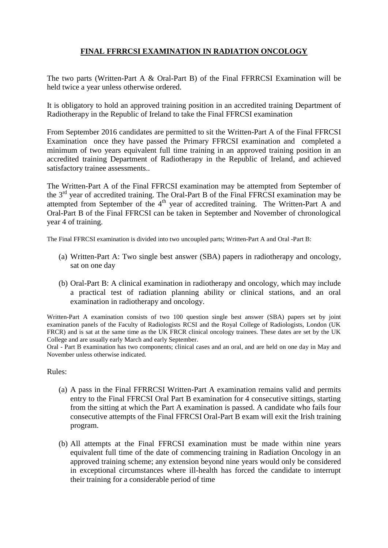### **FINAL FFRRCSI EXAMINATION IN RADIATION ONCOLOGY**

The two parts (Written-Part A & Oral-Part B) of the Final FFRRCSI Examination will be held twice a year unless otherwise ordered.

It is obligatory to hold an approved training position in an accredited training Department of Radiotherapy in the Republic of Ireland to take the Final FFRCSI examination

From September 2016 candidates are permitted to sit the Written-Part A of the Final FFRCSI Examination once they have passed the Primary FFRCSI examination and completed a minimum of two years equivalent full time training in an approved training position in an accredited training Department of Radiotherapy in the Republic of Ireland, and achieved satisfactory trainee assessments..

The Written-Part A of the Final FFRCSI examination may be attempted from September of the  $3<sup>rd</sup>$  year of accredited training. The Oral-Part B of the Final FFRCSI examination may be attempted from September of the  $4<sup>th</sup>$  year of accredited training. The Written-Part A and Oral-Part B of the Final FFRCSI can be taken in September and November of chronological year 4 of training.

The Final FFRCSI examination is divided into two uncoupled parts; Written-Part A and Oral -Part B:

- (a) Written-Part A: Two single best answer (SBA) papers in radiotherapy and oncology, sat on one day
- (b) Oral-Part B: A clinical examination in radiotherapy and oncology, which may include a practical test of radiation planning ability or clinical stations, and an oral examination in radiotherapy and oncology.

Written-Part A examination consists of two 100 question single best answer (SBA) papers set by joint examination panels of the Faculty of Radiologists RCSI and the Royal College of Radiologists, London (UK FRCR) and is sat at the same time as the UK FRCR clinical oncology trainees. These dates are set by the UK College and are usually early March and early September.

Oral - Part B examination has two components; clinical cases and an oral, and are held on one day in May and November unless otherwise indicated.

Rules:

- (a) A pass in the Final FFRRCSI Written-Part A examination remains valid and permits entry to the Final FFRCSI Oral Part B examination for 4 consecutive sittings, starting from the sitting at which the Part A examination is passed. A candidate who fails four consecutive attempts of the Final FFRCSI Oral-Part B exam will exit the Irish training program.
- (b) All attempts at the Final FFRCSI examination must be made within nine years equivalent full time of the date of commencing training in Radiation Oncology in an approved training scheme; any extension beyond nine years would only be considered in exceptional circumstances where ill-health has forced the candidate to interrupt their training for a considerable period of time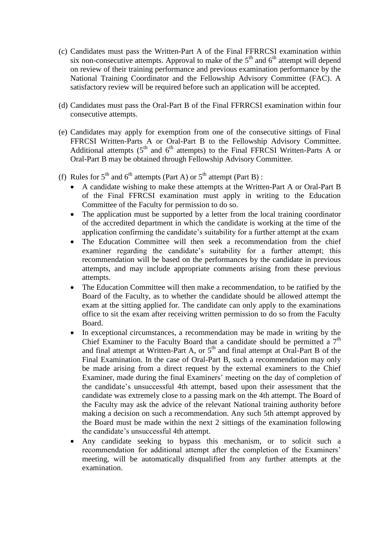- (c) Candidates must pass the Written-Part A of the Final FFRRCSI examination within six non-consecutive attempts. Approval to make of the  $5<sup>th</sup>$  and  $6<sup>th</sup>$  attempt will depend on review of their training performance and previous examination performance by the National Training Coordinator and the Fellowship Advisory Committee (FAC). A satisfactory review will be required before such an application will be accepted.
- (d) Candidates must pass the Oral-Part B of the Final FFRRCSI examination within four consecutive attempts.
- (e) Candidates may apply for exemption from one of the consecutive sittings of Final FFRCSI Written-Parts A or Oral-Part B to the Fellowship Advisory Committee. Additional attempts  $(5<sup>th</sup>$  and  $6<sup>th</sup>$  attempts) to the Final FFRCSI Written-Parts A or Oral-Part B may be obtained through Fellowship Advisory Committee.
- (f) Rules for  $5<sup>th</sup>$  and  $6<sup>th</sup>$  attempts (Part A) or  $5<sup>th</sup>$  attempt (Part B) :
	- A candidate wishing to make these attempts at the Written-Part A or Oral-Part B of the Final FFRCSI examination must apply in writing to the Education Committee of the Faculty for permission to do so.
	- The application must be supported by a letter from the local training coordinator of the accredited department in which the candidate is working at the time of the application confirming the candidate's suitability for a further attempt at the exam
	- The Education Committee will then seek a recommendation from the chief examiner regarding the candidate's suitability for a further attempt; this recommendation will be based on the performances by the candidate in previous attempts, and may include appropriate comments arising from these previous attempts.
	- The Education Committee will then make a recommendation, to be ratified by the Board of the Faculty, as to whether the candidate should be allowed attempt the exam at the sitting applied for. The candidate can only apply to the examinations office to sit the exam after receiving written permission to do so from the Faculty Board.
	- In exceptional circumstances, a recommendation may be made in writing by the Chief Examiner to the Faculty Board that a candidate should be permitted a  $7<sup>th</sup>$ and final attempt at Written-Part A, or  $5<sup>th</sup>$  and final attempt at Oral-Part B of the Final Examination. In the case of Oral-Part B, such a recommendation may only be made arising from a direct request by the external examiners to the Chief Examiner, made during the final Examiners' meeting on the day of completion of the candidate's unsuccessful 4th attempt, based upon their assessment that the candidate was extremely close to a passing mark on the 4th attempt. The Board of the Faculty may ask the advice of the relevant National training authority before making a decision on such a recommendation. Any such 5th attempt approved by the Board must be made within the next 2 sittings of the examination following the candidate's unsuccessful 4th attempt.
	- Any candidate seeking to bypass this mechanism, or to solicit such a recommendation for additional attempt after the completion of the Examiners' meeting, will be automatically disqualified from any further attempts at the examination.